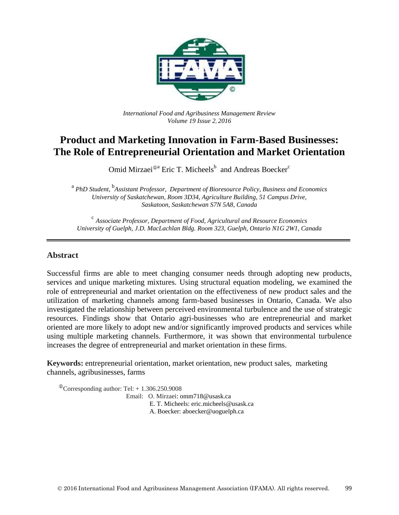

*International Food and Agribusiness Management Review Volume 19 Issue 2*, *2016*

# **Product and Marketing Innovation in Farm-Based Businesses: The Role of Entrepreneurial Orientation and Market Orientation**

Omid Mirzaei<sup>®a</sup> Eric T. Micheels<sup>b</sup> and Andreas Boecker<sup>c</sup>

a *PhD Student,* b *Assistant Professor, Department of Bioresource Policy, Business and Economics University of Saskatchewan, Room 3D34, Agriculture Building, 51 Campus Drive, Saskatoon, Saskatchewan S7N 5A8, Canada*

c *Associate Professor, Department of Food, Agricultural and Resource Economics University of Guelph, J.D. MacLachlan Bldg. Room 323, Guelph, Ontario N1G 2W1, Canada*

### **Abstract**

Successful firms are able to meet changing consumer needs through adopting new products, services and unique marketing mixtures. Using structural equation modeling, we examined the role of entrepreneurial and market orientation on the effectiveness of new product sales and the utilization of marketing channels among farm-based businesses in Ontario, Canada. We also investigated the relationship between perceived environmental turbulence and the use of strategic resources. Findings show that Ontario agri-businesses who are entrepreneurial and market oriented are more likely to adopt new and/or significantly improved products and services while using multiple marketing channels. Furthermore, it was shown that environmental turbulence increases the degree of entrepreneurial and market orientation in these firms.

**Keywords:** entrepreneurial orientation, market orientation, new product sales, marketing channels, agribusinesses, farms

 $\textcirc{}$ Corresponding author: Tel: + 1.306.250.9008 Email: O. Mirzaei: omm718@usask.ca E. T. Micheels: eric.micheels@usask.ca A. Boecker: aboecker@uoguelph.ca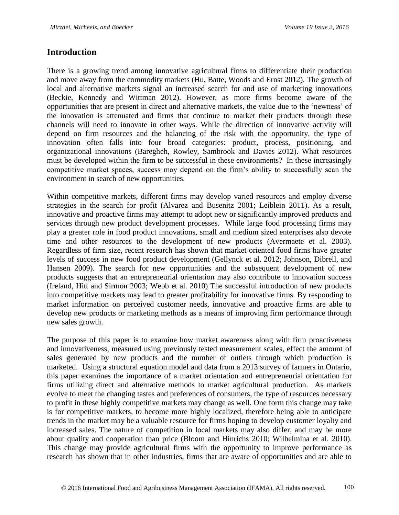# **Introduction**

There is a growing trend among innovative agricultural firms to differentiate their production and move away from the commodity markets (Hu, Batte, Woods and Ernst 2012). The growth of local and alternative markets signal an increased search for and use of marketing innovations (Beckie, Kennedy and Wittman 2012). However, as more firms become aware of the opportunities that are present in direct and alternative markets, the value due to the 'newness' of the innovation is attenuated and firms that continue to market their products through these channels will need to innovate in other ways. While the direction of innovative activity will depend on firm resources and the balancing of the risk with the opportunity, the type of innovation often falls into four broad categories: product, process, positioning, and organizational innovations (Baregheh, Rowley, Sambrook and Davies 2012). What resources must be developed within the firm to be successful in these environments? In these increasingly competitive market spaces, success may depend on the firm's ability to successfully scan the environment in search of new opportunities.

Within competitive markets, different firms may develop varied resources and employ diverse strategies in the search for profit (Alvarez and Busenitz 2001; Leiblein 2011). As a result, innovative and proactive firms may attempt to adopt new or significantly improved products and services through new product development processes. While large food processing firms may play a greater role in food product innovations, small and medium sized enterprises also devote time and other resources to the development of new products (Avermaete et al. 2003). Regardless of firm size, recent research has shown that market oriented food firms have greater levels of success in new food product development (Gellynck et al. 2012; Johnson, Dibrell, and Hansen 2009). The search for new opportunities and the subsequent development of new products suggests that an entrepreneurial orientation may also contribute to innovation success (Ireland, Hitt and Sirmon 2003; Webb et al. 2010) The successful introduction of new products into competitive markets may lead to greater profitability for innovative firms. By responding to market information on perceived customer needs, innovative and proactive firms are able to develop new products or marketing methods as a means of improving firm performance through new sales growth.

The purpose of this paper is to examine how market awareness along with firm proactiveness and innovativeness, measured using previously tested measurement scales, effect the amount of sales generated by new products and the number of outlets through which production is marketed. Using a structural equation model and data from a 2013 survey of farmers in Ontario, this paper examines the importance of a market orientation and entrepreneurial orientation for firms utilizing direct and alternative methods to market agricultural production. As markets evolve to meet the changing tastes and preferences of consumers, the type of resources necessary to profit in these highly competitive markets may change as well. One form this change may take is for competitive markets, to become more highly localized, therefore being able to anticipate trends in the market may be a valuable resource for firms hoping to develop customer loyalty and increased sales. The nature of competition in local markets may also differ, and may be more about quality and cooperation than price (Bloom and Hinrichs 2010; Wilhelmina et al. 2010). This change may provide agricultural firms with the opportunity to improve performance as research has shown that in other industries, firms that are aware of opportunities and are able to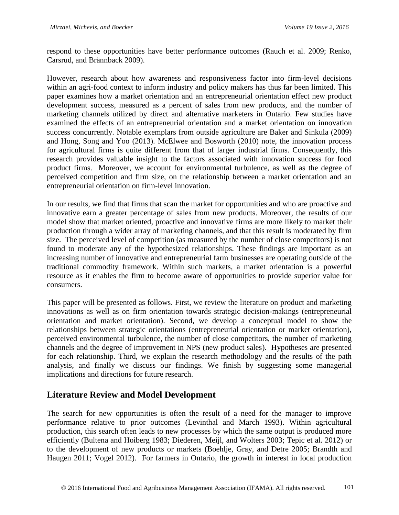respond to these opportunities have better performance outcomes (Rauch et al. 2009; Renko, Carsrud, and Brännback 2009).

However, research about how awareness and responsiveness factor into firm-level decisions within an agri-food context to inform industry and policy makers has thus far been limited. This paper examines how a market orientation and an entrepreneurial orientation effect new product development success, measured as a percent of sales from new products, and the number of marketing channels utilized by direct and alternative marketers in Ontario. Few studies have examined the effects of an entrepreneurial orientation and a market orientation on innovation success concurrently. Notable exemplars from outside agriculture are Baker and Sinkula (2009) and Hong, Song and Yoo (2013). McElwee and Bosworth (2010) note, the innovation process for agricultural firms is quite different from that of larger industrial firms. Consequently, this research provides valuable insight to the factors associated with innovation success for food product firms. Moreover, we account for environmental turbulence, as well as the degree of perceived competition and firm size, on the relationship between a market orientation and an entrepreneurial orientation on firm-level innovation.

In our results, we find that firms that scan the market for opportunities and who are proactive and innovative earn a greater percentage of sales from new products. Moreover, the results of our model show that market oriented, proactive and innovative firms are more likely to market their production through a wider array of marketing channels, and that this result is moderated by firm size. The perceived level of competition (as measured by the number of close competitors) is not found to moderate any of the hypothesized relationships. These findings are important as an increasing number of innovative and entrepreneurial farm businesses are operating outside of the traditional commodity framework. Within such markets, a market orientation is a powerful resource as it enables the firm to become aware of opportunities to provide superior value for consumers.

This paper will be presented as follows. First, we review the literature on product and marketing innovations as well as on firm orientation towards strategic decision-makings (entrepreneurial orientation and market orientation). Second, we develop a conceptual model to show the relationships between strategic orientations (entrepreneurial orientation or market orientation), perceived environmental turbulence, the number of close competitors, the number of marketing channels and the degree of improvement in NPS (new product sales). Hypotheses are presented for each relationship. Third, we explain the research methodology and the results of the path analysis, and finally we discuss our findings. We finish by suggesting some managerial implications and directions for future research.

# **Literature Review and Model Development**

The search for new opportunities is often the result of a need for the manager to improve performance relative to prior outcomes (Levinthal and March 1993). Within agricultural production, this search often leads to new processes by which the same output is produced more efficiently (Bultena and Hoiberg 1983; Diederen, Meijl, and Wolters 2003; Tepic et al. 2012) or to the development of new products or markets (Boehlje, Gray, and Detre 2005; Brandth and Haugen 2011; Vogel 2012). For farmers in Ontario, the growth in interest in local production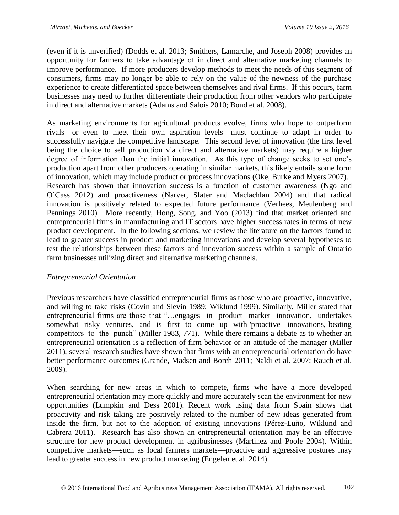(even if it is unverified) (Dodds et al. 2013; Smithers, Lamarche, and Joseph 2008) provides an opportunity for farmers to take advantage of in direct and alternative marketing channels to improve performance. If more producers develop methods to meet the needs of this segment of consumers, firms may no longer be able to rely on the value of the newness of the purchase experience to create differentiated space between themselves and rival firms. If this occurs, farm businesses may need to further differentiate their production from other vendors who participate in direct and alternative markets (Adams and Salois 2010; Bond et al. 2008).

As marketing environments for agricultural products evolve, firms who hope to outperform rivals—or even to meet their own aspiration levels—must continue to adapt in order to successfully navigate the competitive landscape. This second level of innovation (the first level being the choice to sell production via direct and alternative markets) may require a higher degree of information than the initial innovation. As this type of change seeks to set one's production apart from other producers operating in similar markets, this likely entails some form of innovation, which may include product or process innovations (Oke, Burke and Myers 2007). Research has shown that innovation success is a function of customer awareness (Ngo and O'Cass 2012) and proactiveness (Narver, Slater and Maclachlan 2004) and that radical innovation is positively related to expected future performance (Verhees, Meulenberg and Pennings 2010). More recently, Hong, Song, and Yoo (2013) find that market oriented and entrepreneurial firms in manufacturing and IT sectors have higher success rates in terms of new product development. In the following sections, we review the literature on the factors found to lead to greater success in product and marketing innovations and develop several hypotheses to test the relationships between these factors and innovation success within a sample of Ontario farm businesses utilizing direct and alternative marketing channels.

# *Entrepreneurial Orientation*

Previous researchers have classified entrepreneurial firms as those who are proactive, innovative, and willing to take risks (Covin and Slevin 1989; Wiklund 1999). Similarly, Miller stated that entrepreneurial firms are those that "…engages in product market innovation, undertakes somewhat risky ventures, and is first to come up with 'proactive' innovations, beating competitors to the punch" (Miller 1983, 771). While there remains a debate as to whether an entrepreneurial orientation is a reflection of firm behavior or an attitude of the manager (Miller 2011), several research studies have shown that firms with an entrepreneurial orientation do have better performance outcomes (Grande, Madsen and Borch 2011; Naldi et al. 2007; Rauch et al. 2009).

When searching for new areas in which to compete, firms who have a more developed entrepreneurial orientation may more quickly and more accurately scan the environment for new opportunities (Lumpkin and Dess 2001). Recent work using data from Spain shows that proactivity and risk taking are positively related to the number of new ideas generated from inside the firm, but not to the adoption of existing innovations (Pérez-Luño, Wiklund and Cabrera 2011). Research has also shown an entrepreneurial orientation may be an effective structure for new product development in agribusinesses (Martinez and Poole 2004). Within competitive markets—such as local farmers markets—proactive and aggressive postures may lead to greater success in new product marketing (Engelen et al. 2014).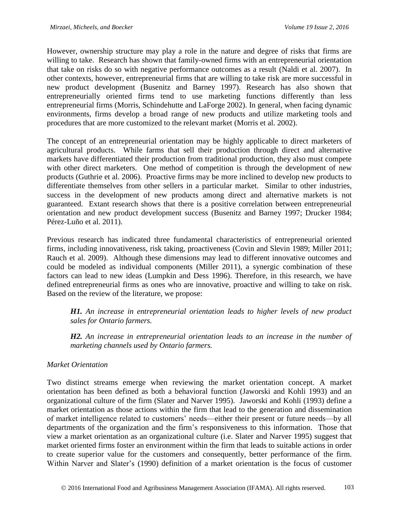However, ownership structure may play a role in the nature and degree of risks that firms are willing to take. Research has shown that family-owned firms with an entrepreneurial orientation that take on risks do so with negative performance outcomes as a result (Naldi et al. 2007). In other contexts, however, entrepreneurial firms that are willing to take risk are more successful in new product development (Busenitz and Barney 1997). Research has also shown that entrepreneurially oriented firms tend to use marketing functions differently than less entrepreneurial firms (Morris, Schindehutte and LaForge 2002). In general, when facing dynamic environments, firms develop a broad range of new products and utilize marketing tools and procedures that are more customized to the relevant market (Morris et al. 2002).

The concept of an entrepreneurial orientation may be highly applicable to direct marketers of agricultural products. While farms that sell their production through direct and alternative markets have differentiated their production from traditional production, they also must compete with other direct marketers. One method of competition is through the development of new products (Guthrie et al. 2006). Proactive firms may be more inclined to develop new products to differentiate themselves from other sellers in a particular market. Similar to other industries, success in the development of new products among direct and alternative markets is not guaranteed. Extant research shows that there is a positive correlation between entrepreneurial orientation and new product development success (Busenitz and Barney 1997; Drucker 1984; Pérez-Luño et al. 2011).

Previous research has indicated three fundamental characteristics of entrepreneurial oriented firms, including innovativeness, risk taking, proactiveness (Covin and Slevin 1989; Miller 2011; Rauch et al. 2009). Although these dimensions may lead to different innovative outcomes and could be modeled as individual components (Miller 2011), a synergic combination of these factors can lead to new ideas (Lumpkin and Dess 1996). Therefore, in this research, we have defined entrepreneurial firms as ones who are innovative, proactive and willing to take on risk. Based on the review of the literature, we propose:

*H1. An increase in entrepreneurial orientation leads to higher levels of new product sales for Ontario farmers.*

*H2. An increase in entrepreneurial orientation leads to an increase in the number of marketing channels used by Ontario farmers.*

# *Market Orientation*

Two distinct streams emerge when reviewing the market orientation concept. A market orientation has been defined as both a behavioral function (Jaworski and Kohli 1993) and an organizational culture of the firm (Slater and Narver 1995). Jaworski and Kohli (1993) define a market orientation as those actions within the firm that lead to the generation and dissemination of market intelligence related to customers' needs—either their present or future needs—by all departments of the organization and the firm's responsiveness to this information. Those that view a market orientation as an organizational culture (i.e. Slater and Narver 1995) suggest that market oriented firms foster an environment within the firm that leads to suitable actions in order to create superior value for the customers and consequently, better performance of the firm. Within Narver and Slater's (1990) definition of a market orientation is the focus of customer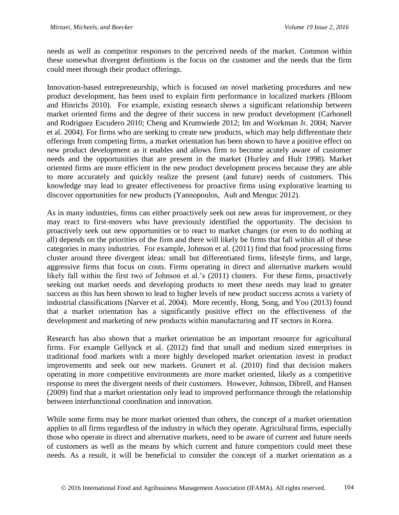needs as well as competitor responses to the perceived needs of the market. Common within these somewhat divergent definitions is the focus on the customer and the needs that the firm could meet through their product offerings.

Innovation-based entrepreneurship, which is focused on novel marketing procedures and new product development, has been used to explain firm performance in localized markets (Bloom and Hinrichs 2010). For example, existing research shows a significant relationship between market oriented firms and the degree of their success in new product development (Carbonell and Rodriguez Escudero 2010; Cheng and Krumwiede 2012; Im and Workman Jr. 2004; Narver et al. 2004). For firms who are seeking to create new products, which may help differentiate their offerings from competing firms, a market orientation has been shown to have a positive effect on new product development as it enables and allows firm to become acutely aware of customer needs and the opportunities that are present in the market (Hurley and Hult 1998). Market oriented firms are more efficient in the new product development process because they are able to more accurately and quickly realize the present (and future) needs of customers. This knowledge may lead to greater effectiveness for proactive firms using explorative learning to discover opportunities for new products (Yannopoulos, Auh and Menguc 2012).

As in many industries, firms can either proactively seek out new areas for improvement, or they may react to first-movers who have previously identified the opportunity. The decision to proactively seek out new opportunities or to react to market changes (or even to do nothing at all) depends on the priorities of the firm and there will likely be firms that fall within all of these categories in many industries. For example, Johnson et al. (2011) find that food processing firms cluster around three divergent ideas: small but differentiated firms, lifestyle firms, and large, aggressive firms that focus on costs. Firms operating in direct and alternative markets would likely fall within the first two of Johnson et al.'s (2011) clusters. For these firms, proactively seeking out market needs and developing products to meet these needs may lead to greater success as this has been shown to lead to higher levels of new product success across a variety of industrial classifications (Narver et al. 2004). More recently, Hong, Song, and Yoo (2013) found that a market orientation has a significantly positive effect on the effectiveness of the development and marketing of new products within manufacturing and IT sectors in Korea.

Research has also shown that a market orientation be an important resource for agricultural firms. For example Gellynck et al. (2012) find that small and medium sized enterprises in traditional food markets with a more highly developed market orientation invest in product improvements and seek out new markets. Grunert et al. (2010) find that decision makers operating in more competitive environments are more market oriented, likely as a competitive response to meet the divergent needs of their customers. However, Johnson, Dibrell, and Hansen (2009) find that a market orientation only lead to improved performance through the relationship between interfunctional coordination and innovation.

While some firms may be more market oriented than others, the concept of a market orientation applies to all firms regardless of the industry in which they operate. Agricultural firms, especially those who operate in direct and alternative markets, need to be aware of current and future needs of customers as well as the means by which current and future competitors could meet these needs. As a result, it will be beneficial to consider the concept of a market orientation as a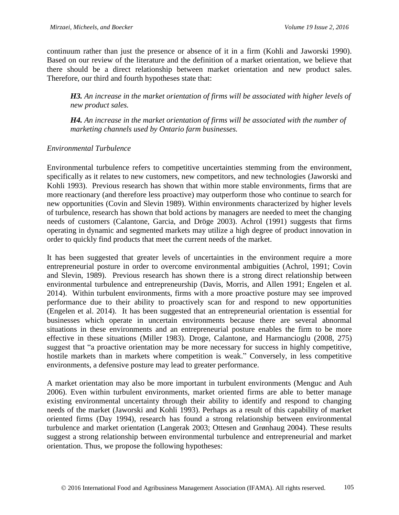continuum rather than just the presence or absence of it in a firm (Kohli and Jaworski 1990). Based on our review of the literature and the definition of a market orientation, we believe that there should be a direct relationship between market orientation and new product sales. Therefore, our third and fourth hypotheses state that:

*H3. An increase in the market orientation of firms will be associated with higher levels of new product sales.*

*H4. An increase in the market orientation of firms will be associated with the number of marketing channels used by Ontario farm businesses.* 

# *Environmental Turbulence*

Environmental turbulence refers to competitive uncertainties stemming from the environment, specifically as it relates to new customers, new competitors, and new technologies (Jaworski and Kohli 1993). Previous research has shown that within more stable environments, firms that are more reactionary (and therefore less proactive) may outperform those who continue to search for new opportunities (Covin and Slevin 1989). Within environments characterized by higher levels of turbulence, research has shown that bold actions by managers are needed to meet the changing needs of customers (Calantone, Garcia, and Dröge 2003). Achrol (1991) suggests that firms operating in dynamic and segmented markets may utilize a high degree of product innovation in order to quickly find products that meet the current needs of the market.

It has been suggested that greater levels of uncertainties in the environment require a more entrepreneurial posture in order to overcome environmental ambiguities (Achrol, 1991; Covin and Slevin, 1989). Previous research has shown there is a strong direct relationship between environmental turbulence and entrepreneurship (Davis, Morris, and Allen 1991; Engelen et al. 2014). Within turbulent environments, firms with a more proactive posture may see improved performance due to their ability to proactively scan for and respond to new opportunities (Engelen et al. 2014). It has been suggested that an entrepreneurial orientation is essential for businesses which operate in uncertain environments because there are several abnormal situations in these environments and an entrepreneurial posture enables the firm to be more effective in these situations (Miller 1983). Droge, Calantone, and Harmancioglu (2008, 275) suggest that "a proactive orientation may be more necessary for success in highly competitive, hostile markets than in markets where competition is weak." Conversely, in less competitive environments, a defensive posture may lead to greater performance.

A market orientation may also be more important in turbulent environments (Menguc and Auh 2006). Even within turbulent environments, market oriented firms are able to better manage existing environmental uncertainty through their ability to identify and respond to changing needs of the market (Jaworski and Kohli 1993). Perhaps as a result of this capability of market oriented firms (Day 1994), research has found a strong relationship between environmental turbulence and market orientation (Langerak 2003; Ottesen and Grønhaug 2004). These results suggest a strong relationship between environmental turbulence and entrepreneurial and market orientation. Thus, we propose the following hypotheses: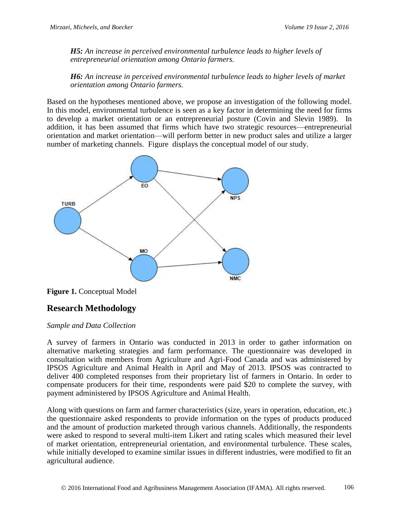*H5: An increase in perceived environmental turbulence leads to higher levels of entrepreneurial orientation among Ontario farmers.*

*H6: An increase in perceived environmental turbulence leads to higher levels of market orientation among Ontario farmers.*

Based on the hypotheses mentioned above, we propose an investigation of the following model. In this model, environmental turbulence is seen as a key factor in determining the need for firms to develop a market orientation or an entrepreneurial posture (Covin and Slevin 1989). In addition, it has been assumed that firms which have two strategic resources—entrepreneurial orientation and market orientation—will perform better in new product sales and utilize a larger number of marketing channels. [Figure](#page-7-0) displays the conceptual model of our study.



<span id="page-7-0"></span>**Figure 1.** Conceptual Model

# **Research Methodology**

# *Sample and Data Collection*

A survey of farmers in Ontario was conducted in 2013 in order to gather information on alternative marketing strategies and farm performance. The questionnaire was developed in consultation with members from Agriculture and Agri-Food Canada and was administered by IPSOS Agriculture and Animal Health in April and May of 2013. IPSOS was contracted to deliver 400 completed responses from their proprietary list of farmers in Ontario. In order to compensate producers for their time, respondents were paid \$20 to complete the survey, with payment administered by IPSOS Agriculture and Animal Health.

Along with questions on farm and farmer characteristics (size, years in operation, education, etc.) the questionnaire asked respondents to provide information on the types of products produced and the amount of production marketed through various channels. Additionally, the respondents were asked to respond to several multi-item Likert and rating scales which measured their level of market orientation, entrepreneurial orientation, and environmental turbulence. These scales, while initially developed to examine similar issues in different industries, were modified to fit an agricultural audience.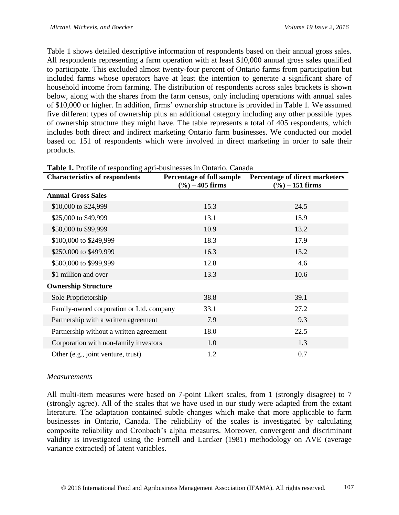[Table 1](#page-8-0) shows detailed descriptive information of respondents based on their annual gross sales. All respondents representing a farm operation with at least \$10,000 annual gross sales qualified to participate. This excluded almost twenty-four percent of Ontario farms from participation but included farms whose operators have at least the intention to generate a significant share of household income from farming. The distribution of respondents across sales brackets is shown below, along with the shares from the farm census, only including operations with annual sales of \$10,000 or higher. In addition, firms' ownership structure is provided in [Table 1.](#page-8-0) We assumed five different types of ownership plus an additional category including any other possible types of ownership structure they might have. The table represents a total of 405 respondents, which includes both direct and indirect marketing Ontario farm businesses. We conducted our model based on 151 of respondents which were involved in direct marketing in order to sale their products.

| $\frac{1}{2}$ and $\frac{1}{2}$ are the potentially again capital conditions,<br><b>Characteristics of respondents</b> | Percentage of full sample<br>$(\%)-405$ firms | Percentage of direct marketers<br>$(\%)-151$ firms |
|------------------------------------------------------------------------------------------------------------------------|-----------------------------------------------|----------------------------------------------------|
| <b>Annual Gross Sales</b>                                                                                              |                                               |                                                    |
| \$10,000 to \$24,999                                                                                                   | 15.3                                          | 24.5                                               |
| \$25,000 to \$49,999                                                                                                   | 13.1                                          | 15.9                                               |
| \$50,000 to \$99,999                                                                                                   | 10.9                                          | 13.2                                               |
| \$100,000 to \$249,999                                                                                                 | 18.3                                          | 17.9                                               |
| \$250,000 to \$499,999                                                                                                 | 16.3                                          | 13.2                                               |
| \$500,000 to \$999,999                                                                                                 | 12.8                                          | 4.6                                                |
| \$1 million and over                                                                                                   | 13.3                                          | 10.6                                               |
| <b>Ownership Structure</b>                                                                                             |                                               |                                                    |
| Sole Proprietorship                                                                                                    | 38.8                                          | 39.1                                               |
| Family-owned corporation or Ltd. company                                                                               | 33.1                                          | 27.2                                               |
| Partnership with a written agreement                                                                                   | 7.9                                           | 9.3                                                |
| Partnership without a written agreement                                                                                | 18.0                                          | 22.5                                               |
| Corporation with non-family investors                                                                                  | 1.0                                           | 1.3                                                |
| Other (e.g., joint venture, trust)                                                                                     | 1.2                                           | 0.7                                                |

<span id="page-8-0"></span>

|  | Table 1. Profile of responding agri-businesses in Ontario, Canada |  |  |
|--|-------------------------------------------------------------------|--|--|
|  |                                                                   |  |  |

# *Measurements*

All multi-item measures were based on 7-point Likert scales, from 1 (strongly disagree) to 7 (strongly agree). All of the scales that we have used in our study were adapted from the extant literature. The adaptation contained subtle changes which make that more applicable to farm businesses in Ontario, Canada. The reliability of the scales is investigated by calculating composite reliability and Cronbach's alpha measures. Moreover, convergent and discriminant validity is investigated using the Fornell and Larcker (1981) methodology on AVE (average variance extracted) of latent variables.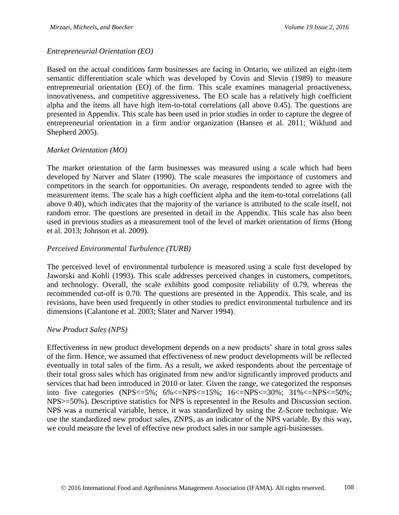#### *Entrepreneurial Orientation (EO)*

Based on the actual conditions farm businesses are facing in Ontario, we utilized an eight-item semantic differentiation scale which was developed by Covin and Slevin (1989) to measure entrepreneurial orientation (EO) of the firm. This scale examines managerial proactiveness, innovativeness, and competitive aggressiveness. The EO scale has a relatively high coefficient alpha and the items all have high item-to-total correlations (all above 0.45). The questions are presented in Appendix. This scale has been used in prior studies in order to capture the degree of entrepreneurial orientation in a firm and/or organization (Hansen et al. 2011; Wiklund and Shepherd 2005).

### *Market Orientation (MO)*

The market orientation of the farm businesses was measured using a scale which had been developed by Narver and Slater (1990). The scale measures the importance of customers and competitors in the search for opportunities. On average, respondents tended to agree with the measurement items. The scale has a high coefficient alpha and the item-to-total correlations (all above 0.40), which indicates that the majority of the variance is attributed to the scale itself, not random error. The questions are presented in detail in the Appendix. This scale has also been used in previous studies as a measurement tool of the level of market orientation of firms (Hong et al. 2013; Johnson et al. 2009).

### *Perceived Environmental Turbulence (TURB)*

The perceived level of environmental turbulence is measured using a scale first developed by Jaworski and Kohli (1993). This scale addresses perceived changes in customers, competitors, and technology. Overall, the scale exhibits good composite reliability of 0.79, whereas the recommended cut-off is 0.70. The questions are presented in the Appendix. This scale, and its revisions, have been used frequently in other studies to predict environmental turbulence and its dimensions (Calantone et al. 2003; Slater and Narver 1994).

#### *New Product Sales (NPS)*

Effectiveness in new product development depends on a new products' share in total gross sales of the firm. Hence, we assumed that effectiveness of new product developments will be reflected eventually in total sales of the firm. As a result, we asked respondents about the percentage of their total gross sales which has originated from new and/or significantly improved products and services that had been introduced in 2010 or later. Given the range, we categorized the responses into five categories (NPS $\leq$ =5%; 6% $\leq$ NPS $\leq$ =15%; 16 $\leq$ NPS $\leq$ =30%; 31% $\leq$ NPS $\leq$ =50%; NPS>=50%). Descriptive statistics for NPS is represented in the Results and Discussion section. NPS was a numerical variable, hence, it was standardized by using the Z-Score technique. We use the standardized new product sales, ZNPS, as an indicator of the NPS variable. By this way, we could measure the level of effective new product sales in our sample agri-businesses.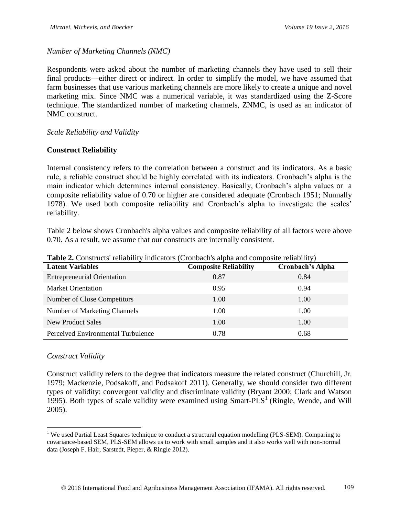*Number of Marketing Channels (NMC)*

Respondents were asked about the number of marketing channels they have used to sell their final products—either direct or indirect. In order to simplify the model, we have assumed that farm businesses that use various marketing channels are more likely to create a unique and novel marketing mix. Since NMC was a numerical variable, it was standardized using the Z-Score technique. The standardized number of marketing channels, ZNMC, is used as an indicator of NMC construct.

### *Scale Reliability and Validity*

# **Construct Reliability**

Internal consistency refers to the correlation between a construct and its indicators. As a basic rule, a reliable construct should be highly correlated with its indicators. Cronbach's alpha is the main indicator which determines internal consistency. Basically, Cronbach's alpha values or a composite reliability value of 0.70 or higher are considered adequate (Cronbach 1951; Nunnally 1978). We used both composite reliability and Cronbach's alpha to investigate the scales' reliability.

[Table](#page-10-0) 2 below shows Cronbach's alpha values and composite reliability of all factors were above 0.70. As a result, we assume that our constructs are internally consistent.

| <b>THOICE:</b> CONSIGUOS TURBOTHY INTRODUCES (CFORDING IS MITH THE COMPOSITY FUNDITITY) |                              |                         |  |  |  |  |  |  |
|-----------------------------------------------------------------------------------------|------------------------------|-------------------------|--|--|--|--|--|--|
| <b>Latent Variables</b>                                                                 | <b>Composite Reliability</b> | <b>Cronbach's Alpha</b> |  |  |  |  |  |  |
| <b>Entrepreneurial Orientation</b>                                                      | 0.87                         | 0.84                    |  |  |  |  |  |  |
| <b>Market Orientation</b>                                                               | 0.95                         | 0.94                    |  |  |  |  |  |  |
| Number of Close Competitors                                                             | 1.00                         | 1.00                    |  |  |  |  |  |  |
| Number of Marketing Channels                                                            | 1.00                         | 1.00                    |  |  |  |  |  |  |
| <b>New Product Sales</b>                                                                | 1.00                         | 1.00                    |  |  |  |  |  |  |
| Perceived Environmental Turbulence                                                      | 0.78                         | 0.68                    |  |  |  |  |  |  |

<span id="page-10-0"></span>**Table 2.** Constructs' reliability indicators (Cronbach's alpha and composite reliability)

# *Construct Validity*

 $\overline{a}$ 

Construct validity refers to the degree that indicators measure the related construct (Churchill, Jr. 1979; Mackenzie, Podsakoff, and Podsakoff 2011). Generally, we should consider two different types of validity: convergent validity and discriminate validity (Bryant 2000; Clark and Watson 1995). Both types of scale validity were examined using  $Smart-PLS<sup>1</sup>$  (Ringle, Wende, and Will 2005).

<sup>&</sup>lt;sup>1</sup> We used Partial Least Squares technique to conduct a structural equation modelling (PLS-SEM). Comparing to covariance-based SEM, PLS-SEM allows us to work with small samples and it also works well with non-normal data (Joseph F. Hair, Sarstedt, Pieper, & Ringle 2012).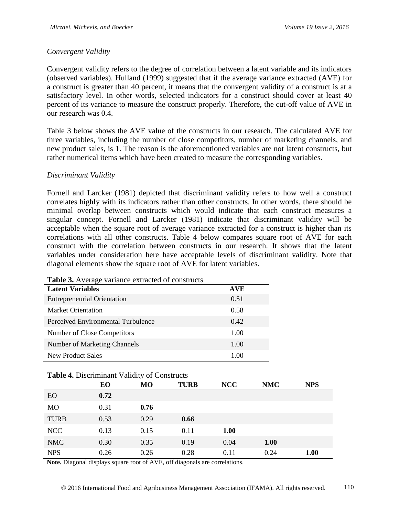# *Convergent Validity*

Convergent validity refers to the degree of correlation between a latent variable and its indicators (observed variables). Hulland (1999) suggested that if the average variance extracted (AVE) for a construct is greater than 40 percent, it means that the convergent validity of a construct is at a satisfactory level. In other words, selected indicators for a construct should cover at least 40 percent of its variance to measure the construct properly. Therefore, the cut-off value of AVE in our research was 0.4.

[Table 3](#page-11-0) below shows the AVE value of the constructs in our research. The calculated AVE for three variables, including the number of close competitors, number of marketing channels, and new product sales, is 1. The reason is the aforementioned variables are not latent constructs, but rather numerical items which have been created to measure the corresponding variables.

### *Discriminant Validity*

Fornell and Larcker (1981) depicted that discriminant validity refers to how well a construct correlates highly with its indicators rather than other constructs. In other words, there should be minimal overlap between constructs which would indicate that each construct measures a singular concept. Fornell and Larcker (1981) indicate that discriminant validity will be acceptable when the square root of average variance extracted for a construct is higher than its correlations with all other constructs. [Table 4](#page-11-1) below compares square root of AVE for each construct with the correlation between constructs in our research. It shows that the latent variables under consideration here have acceptable levels of discriminant validity. Note that diagonal elements show the square root of AVE for latent variables.

| <b>Latent Variables</b>            | <b>AVE</b> |
|------------------------------------|------------|
| <b>Entrepreneurial Orientation</b> | 0.51       |
| <b>Market Orientation</b>          | 0.58       |
| Perceived Environmental Turbulence | 0.42       |
| Number of Close Competitors        | 1.00       |
| Number of Marketing Channels       | 1.00       |
| New Product Sales                  | 1.00       |

<span id="page-11-0"></span>**Table 3.** Average variance extracted of constructs

<span id="page-11-1"></span>

| <b>Table 4. Discriminant Validity of Constructs</b> |
|-----------------------------------------------------|
|-----------------------------------------------------|

|                | EO   | MO   | <b>TURB</b> | <b>NCC</b>  | <b>NMC</b> | <b>NPS</b> |
|----------------|------|------|-------------|-------------|------------|------------|
| EO             | 0.72 |      |             |             |            |            |
| M <sub>O</sub> | 0.31 | 0.76 |             |             |            |            |
| <b>TURB</b>    | 0.53 | 0.29 | 0.66        |             |            |            |
| <b>NCC</b>     | 0.13 | 0.15 | 0.11        | <b>1.00</b> |            |            |
| <b>NMC</b>     | 0.30 | 0.35 | 0.19        | 0.04        | 1.00       |            |
| <b>NPS</b>     | 0.26 | 0.26 | 0.28        | 0.11        | 0.24       | 1.00       |

**Note.** Diagonal displays square root of AVE, off diagonals are correlations.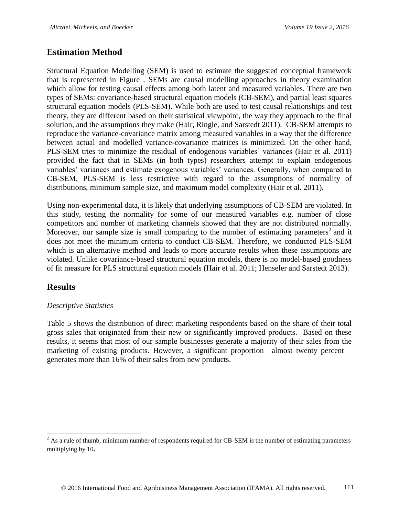# **Estimation Method**

Structural Equation Modelling (SEM) is used to estimate the suggested conceptual framework that is represented in [Figure .](#page-7-0) SEMs are causal modelling approaches in theory examination which allow for testing causal effects among both latent and measured variables. There are two types of SEMs: covariance-based structural equation models (CB-SEM), and partial least squares structural equation models (PLS-SEM). While both are used to test causal relationships and test theory, they are different based on their statistical viewpoint, the way they approach to the final solution, and the assumptions they make (Hair, Ringle, and Sarstedt 2011). CB-SEM attempts to reproduce the variance-covariance matrix among measured variables in a way that the difference between actual and modelled variance-covariance matrices is minimized. On the other hand, PLS-SEM tries to minimize the residual of endogenous variables' variances (Hair et al. 2011) provided the fact that in SEMs (in both types) researchers attempt to explain endogenous variables' variances and estimate exogenous variables' variances. Generally, when compared to CB-SEM, PLS-SEM is less restrictive with regard to the assumptions of normality of distributions, minimum sample size, and maximum model complexity (Hair et al. 2011).

Using non-experimental data, it is likely that underlying assumptions of CB-SEM are violated. In this study, testing the normality for some of our measured variables e.g. number of close competitors and number of marketing channels showed that they are not distributed normally. Moreover, our sample size is small comparing to the number of estimating parameters<sup>2</sup> and it does not meet the minimum criteria to conduct CB-SEM. Therefore, we conducted PLS-SEM which is an alternative method and leads to more accurate results when these assumptions are violated. Unlike covariance-based structural equation models, there is no model-based goodness of fit measure for PLS structural equation models (Hair et al. 2011; Henseler and Sarstedt 2013).

# **Results**

 $\overline{a}$ 

# *Descriptive Statistics*

[Table 5](#page-13-0) shows the distribution of direct marketing respondents based on the share of their total gross sales that originated from their new or significantly improved products. Based on these results, it seems that most of our sample businesses generate a majority of their sales from the marketing of existing products. However, a significant proportion—almost twenty percent generates more than 16% of their sales from new products.

 $^{2}$  As a rule of thumb, minimum number of respondents required for CB-SEM is the number of estimating parameters multiplying by 10.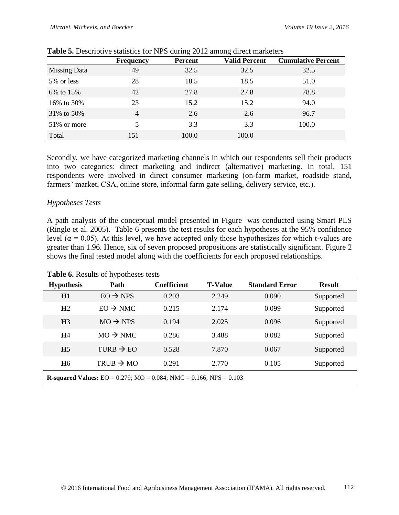|                     | <b>Frequency</b> | <b>Percent</b> | <b>Valid Percent</b> | <b>Cumulative Percent</b> |
|---------------------|------------------|----------------|----------------------|---------------------------|
| <b>Missing Data</b> | 49               | 32.5           | 32.5                 | 32.5                      |
| 5% or less          | 28               | 18.5           | 18.5                 | 51.0                      |
| 6% to 15%           | 42               | 27.8           | 27.8                 | 78.8                      |
| 16\% to 30\%        | 23               | 15.2           | 15.2                 | 94.0                      |
| 31% to 50%          | $\overline{4}$   | 2.6            | 2.6                  | 96.7                      |
| 51\% or more        | 5                | 3.3            | 3.3                  | 100.0                     |
| Total               | 151              | 100.0          | 100.0                |                           |

<span id="page-13-0"></span>

|  |  |  | <b>Table 5.</b> Descriptive statistics for NPS during 2012 among direct marketers |
|--|--|--|-----------------------------------------------------------------------------------|

Secondly, we have categorized marketing channels in which our respondents sell their products into two categories: direct marketing and indirect (alternative) marketing. In total, 151 respondents were involved in direct consumer marketing (on-farm market, roadside stand, farmers' market, CSA, online store, informal farm gate selling, delivery service, etc.).

### *Hypotheses Tests*

A path analysis of the conceptual model presented in [Figure](#page-7-0) was conducted using Smart PLS (Ringle et al. 2005). Table 6 presents the test results for each hypotheses at the 95% confidence level ( $α = 0.05$ ). At this level, we have accepted only those hypothesizes for which t-values are greater than 1.96. Hence, six of seven proposed propositions are statistically significant. Figure 2 shows the final tested model along with the coefficients for each proposed relationships.

|    |  | Table 6. Results of hypotheses tests |                |  |
|----|--|--------------------------------------|----------------|--|
| -- |  |                                      | <u>. കെ കോ</u> |  |

| <b>Hypothesis</b>                                                                    | Path                  | <b>Coefficient</b> | <b>T-Value</b> | <b>Standard Error</b> | <b>Result</b> |  |  |
|--------------------------------------------------------------------------------------|-----------------------|--------------------|----------------|-----------------------|---------------|--|--|
| H1                                                                                   | $EO \rightarrow NPS$  | 0.203              | 2.249          | 0.090                 | Supported     |  |  |
| H <sub>2</sub>                                                                       | $EO \rightarrow NMC$  | 0.215              | 2.174          | 0.099                 | Supported     |  |  |
| H <sub>3</sub>                                                                       | $MO \rightarrow NPS$  | 0.194              | 2.025          | 0.096                 | Supported     |  |  |
| <b>H</b> 4                                                                           | $MO \rightarrow NMC$  | 0.286              | 3.488          | 0.082                 | Supported     |  |  |
| H <sub>5</sub>                                                                       | TURB $\rightarrow$ EO | 0.528              | 7.870          | 0.067                 | Supported     |  |  |
| <b>H</b> <sub>6</sub>                                                                | TRUB $\rightarrow$ MO | 0.291              | 2.770          | 0.105                 | Supported     |  |  |
| <b>R-squared Values:</b> EO = $0.279$ ; MO = $0.084$ ; NMC = $0.166$ ; NPS = $0.103$ |                       |                    |                |                       |               |  |  |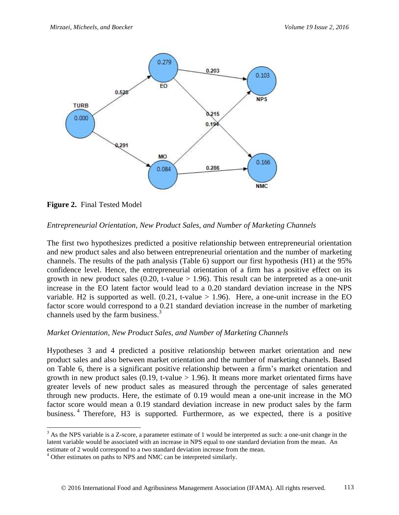

**Figure 2.** Final Tested Model

 $\overline{a}$ 

# *Entrepreneurial Orientation, New Product Sales, and Number of Marketing Channels*

The first two hypothesizes predicted a positive relationship between entrepreneurial orientation and new product sales and also between entrepreneurial orientation and the number of marketing channels. The results of the path analysis (Table 6) support our first hypothesis (H1) at the 95% confidence level. Hence, the entrepreneurial orientation of a firm has a positive effect on its growth in new product sales  $(0.20, t-value > 1.96)$ . This result can be interpreted as a one-unit increase in the EO latent factor would lead to a 0.20 standard deviation increase in the NPS variable. H2 is supported as well.  $(0.21, t-value > 1.96)$ . Here, a one-unit increase in the EO factor score would correspond to a 0.21 standard deviation increase in the number of marketing channels used by the farm business.<sup>3</sup>

# *Market Orientation, New Product Sales, and Number of Marketing Channels*

Hypotheses 3 and 4 predicted a positive relationship between market orientation and new product sales and also between market orientation and the number of marketing channels. Based on Table 6, there is a significant positive relationship between a firm's market orientation and growth in new product sales  $(0.19, t-value > 1.96)$ . It means more market orientated firms have greater levels of new product sales as measured through the percentage of sales generated through new products. Here, the estimate of 0.19 would mean a one-unit increase in the MO factor score would mean a 0.19 standard deviation increase in new product sales by the farm business.<sup>4</sup> Therefore, H3 is supported. Furthermore, as we expected, there is a positive

 $3$  As the NPS variable is a Z-score, a parameter estimate of 1 would be interpreted as such: a one-unit change in the latent variable would be associated with an increase in NPS equal to one standard deviation from the mean. An estimate of 2 would correspond to a two standard deviation increase from the mean.

<sup>&</sup>lt;sup>4</sup> Other estimates on paths to NPS and NMC can be interpreted similarly.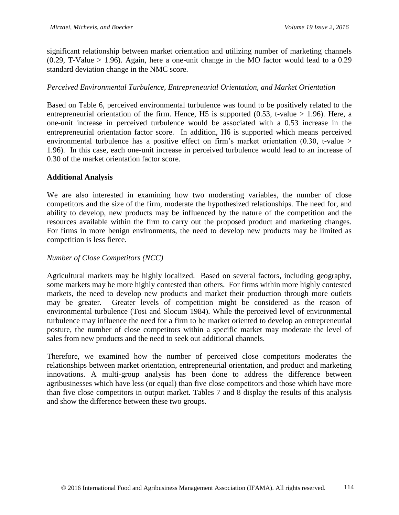significant relationship between market orientation and utilizing number of marketing channels  $(0.29, T-Value > 1.96)$ . Again, here a one-unit change in the MO factor would lead to a 0.29 standard deviation change in the NMC score.

### *Perceived Environmental Turbulence, Entrepreneurial Orientation, and Market Orientation*

Based on Table 6, perceived environmental turbulence was found to be positively related to the entrepreneurial orientation of the firm. Hence, H5 is supported  $(0.53, t-value > 1.96)$ . Here, a one-unit increase in perceived turbulence would be associated with a 0.53 increase in the entrepreneurial orientation factor score. In addition, H6 is supported which means perceived environmental turbulence has a positive effect on firm's market orientation (0.30, t-value > 1.96). In this case, each one-unit increase in perceived turbulence would lead to an increase of 0.30 of the market orientation factor score.

### **Additional Analysis**

We are also interested in examining how two moderating variables, the number of close competitors and the size of the firm, moderate the hypothesized relationships. The need for, and ability to develop, new products may be influenced by the nature of the competition and the resources available within the firm to carry out the proposed product and marketing changes. For firms in more benign environments, the need to develop new products may be limited as competition is less fierce.

### *Number of Close Competitors (NCC)*

Agricultural markets may be highly localized. Based on several factors, including geography, some markets may be more highly contested than others. For firms within more highly contested markets, the need to develop new products and market their production through more outlets may be greater. Greater levels of competition might be considered as the reason of environmental turbulence (Tosi and Slocum 1984). While the perceived level of environmental turbulence may influence the need for a firm to be market oriented to develop an entrepreneurial posture, the number of close competitors within a specific market may moderate the level of sales from new products and the need to seek out additional channels.

Therefore, we examined how the number of perceived close competitors moderates the relationships between market orientation, entrepreneurial orientation, and product and marketing innovations. A multi-group analysis has been done to address the difference between agribusinesses which have less (or equal) than five close competitors and those which have more than five close competitors in output market. Tables 7 and 8 display the results of this analysis and show the difference between these two groups.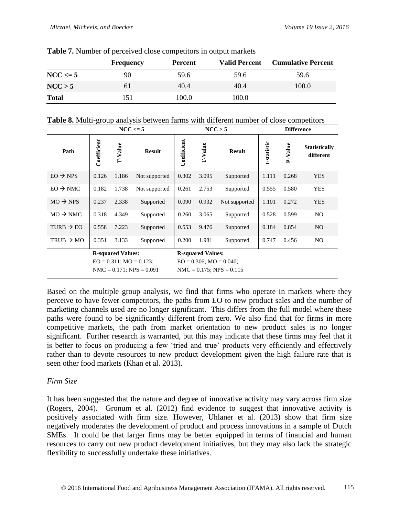|              | <b>Frequency</b> | <b>Percent</b> | <b>Valid Percent</b> | <b>Cumulative Percent</b> |
|--------------|------------------|----------------|----------------------|---------------------------|
| $NCC \leq 5$ | 90               | 59.6           | 59.6                 | 59.6                      |
| NCC > 5      | 61               | 40.4           | 40.4                 | 100.0                     |
| <b>Total</b> | 151              | 100.0          | 100.0                |                           |

**Table 7.** Number of perceived close competitors in output markets

**Table 8.** Multi-group analysis between farms with different number of close competitors

|                       | $NCC \leq 5$                                                                               |         | NCC > 5       |                                                                                            |         | <b>Difference</b> |             |         |                                   |
|-----------------------|--------------------------------------------------------------------------------------------|---------|---------------|--------------------------------------------------------------------------------------------|---------|-------------------|-------------|---------|-----------------------------------|
| Path                  | Coefficient                                                                                | T-Value | <b>Result</b> | Coefficient                                                                                | T-Value | <b>Result</b>     | t-statistic | P-Value | <b>Statistically</b><br>different |
| $EO \rightarrow NPS$  | 0.126                                                                                      | 1.186   | Not supported | 0.302                                                                                      | 3.095   | Supported         | 1.111       | 0.268   | <b>YES</b>                        |
| $EO \rightarrow NMC$  | 0.182                                                                                      | 1.738   | Not supported | 0.261                                                                                      | 2.753   | Supported         | 0.555       | 0.580   | <b>YES</b>                        |
| $MO \rightarrow NPS$  | 0.237                                                                                      | 2.338   | Supported     | 0.090                                                                                      | 0.932   | Not supported     | 1.101       | 0.272   | <b>YES</b>                        |
| $MO \rightarrow NMC$  | 0.318                                                                                      | 4.349   | Supported     | 0.260                                                                                      | 3.065   | Supported         | 0.528       | 0.599   | NO.                               |
| TURB $\rightarrow$ EO | 0.558                                                                                      | 7.223   | Supported     | 0.553                                                                                      | 9.476   | Supported         | 0.184       | 0.854   | NO.                               |
| TRUB $\rightarrow$ MO | 0.351                                                                                      | 3.133   | Supported     | 0.200                                                                                      | 1.981   | Supported         | 0.747       | 0.456   | N <sub>O</sub>                    |
|                       | <b>R-squared Values:</b><br>$EO = 0.311$ ; $MO = 0.123$ ;<br>$NMC = 0.171$ ; $NPS = 0.091$ |         |               | <b>R-squared Values:</b><br>$EO = 0.306$ ; $MO = 0.040$ ;<br>$NMC = 0.175$ ; $NPS = 0.115$ |         |                   |             |         |                                   |

Based on the multiple group analysis, we find that firms who operate in markets where they perceive to have fewer competitors, the paths from EO to new product sales and the number of marketing channels used are no longer significant. This differs from the full model where these paths were found to be significantly different from zero. We also find that for firms in more competitive markets, the path from market orientation to new product sales is no longer significant. Further research is warranted, but this may indicate that these firms may feel that it is better to focus on producing a few 'tried and true' products very efficiently and effectively rather than to devote resources to new product development given the high failure rate that is seen other food markets (Khan et al. 2013).

# *Firm Size*

It has been suggested that the nature and degree of innovative activity may vary across firm size (Rogers, 2004). Gronum et al. (2012) find evidence to suggest that innovative activity is positively associated with firm size. However, Uhlaner et al. (2013) show that firm size negatively moderates the development of product and process innovations in a sample of Dutch SMEs. It could be that larger firms may be better equipped in terms of financial and human resources to carry out new product development initiatives, but they may also lack the strategic flexibility to successfully undertake these initiatives.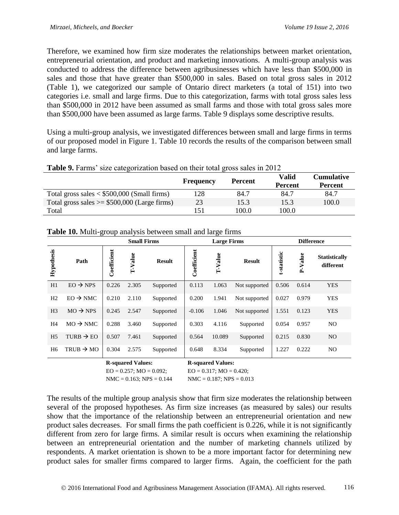Therefore, we examined how firm size moderates the relationships between market orientation, entrepreneurial orientation, and product and marketing innovations. A multi-group analysis was conducted to address the difference between agribusinesses which have less than \$500,000 in sales and those that have greater than \$500,000 in sales. Based on total gross sales in 2012 [\(Table 1\)](#page-8-0), we categorized our sample of Ontario direct marketers (a total of 151) into two categories i.e. small and large firms. Due to this categorization, farms with total gross sales less than \$500,000 in 2012 have been assumed as small farms and those with total gross sales more than \$500,000 have been assumed as large farms. Table 9 displays some descriptive results.

Using a multi-group analysis, we investigated differences between small and large firms in terms of our proposed model in [Figure 1](#page-7-0). Table 10 records the results of the comparison between small and large farms.

| <b>Table 9.</b> Farms' size categorization based on their total gross sales in 2012 |                |                                |                                     |  |  |  |  |
|-------------------------------------------------------------------------------------|----------------|--------------------------------|-------------------------------------|--|--|--|--|
| <b>Frequency</b>                                                                    | <b>Percent</b> | <b>Valid</b><br><b>Percent</b> | <b>Cumulative</b><br><b>Percent</b> |  |  |  |  |
| 128                                                                                 | 84.7           | 84.7                           | 84.7                                |  |  |  |  |
| 23                                                                                  | 15.3           | 15.3                           | 100.0                               |  |  |  |  |
| 151                                                                                 | 100.0          | 100.0                          |                                     |  |  |  |  |
|                                                                                     |                |                                |                                     |  |  |  |  |

|                   |                       |             | <b>Small Firms</b>            |               |             | <b>Large Firms</b>          |               | <b>Difference</b> |         |                                   |  |
|-------------------|-----------------------|-------------|-------------------------------|---------------|-------------|-----------------------------|---------------|-------------------|---------|-----------------------------------|--|
| <b>Hypothesis</b> | Path                  | Coefficient | T-Value                       | <b>Result</b> | Coefficient | T-Value                     | <b>Result</b> | t-statistic       | P-Value | <b>Statistically</b><br>different |  |
| H1                | $EO \rightarrow NPS$  | 0.226       | 2.305                         | Supported     | 0.113       | 1.063                       | Not supported | 0.506             | 0.614   | <b>YES</b>                        |  |
| H <sub>2</sub>    | $EO \rightarrow NMC$  | 0.210       | 2.110                         | Supported     | 0.200       | 1.941                       | Not supported | 0.027             | 0.979   | <b>YES</b>                        |  |
| H <sub>3</sub>    | $MO \rightarrow NPS$  | 0.245       | 2.547                         | Supported     | $-0.106$    | 1.046                       | Not supported | 1.551             | 0.123   | <b>YES</b>                        |  |
| H4                | $MO \rightarrow NMC$  | 0.288       | 3.460                         | Supported     | 0.303       | 4.116                       | Supported     | 0.054             | 0.957   | NO.                               |  |
| H <sub>5</sub>    | TURB $\rightarrow$ EO | 0.507       | 7.461                         | Supported     | 0.564       | 10.089                      | Supported     | 0.215             | 0.830   | NO.                               |  |
| H <sub>6</sub>    | TRUB $\rightarrow$ MO | 0.304       | 2.575                         | Supported     | 0.648       | 8.334                       | Supported     | 1.227             | 0.222   | NO.                               |  |
|                   |                       |             | D <sub>coupro</sub> d Volugar |               |             | D <sub>conorad</sub> Values |               |                   |         |                                   |  |

**Table 10.** Multi-group analysis between small and large firms

| <b>R-squared Values:</b>      | <b>R-squared Va</b> |
|-------------------------------|---------------------|
| $EO = 0.257$ ; $MO = 0.092$ ; | $EO = 0.317$ ; M    |
| $NMC = 0.163$ ; $NPS = 0.144$ | $NMC = 0.187$ ;     |

lues:  $IO = 0.420;$  $NPS = 0.013$ 

The results of the multiple group analysis show that firm size moderates the relationship between several of the proposed hypotheses. As firm size increases (as measured by sales) our results show that the importance of the relationship between an entrepreneurial orientation and new product sales decreases. For small firms the path coefficient is 0.226, while it is not significantly different from zero for large firms. A similar result is occurs when examining the relationship between an entrepreneurial orientation and the number of marketing channels utilized by respondents. A market orientation is shown to be a more important factor for determining new product sales for smaller firms compared to larger firms. Again, the coefficient for the path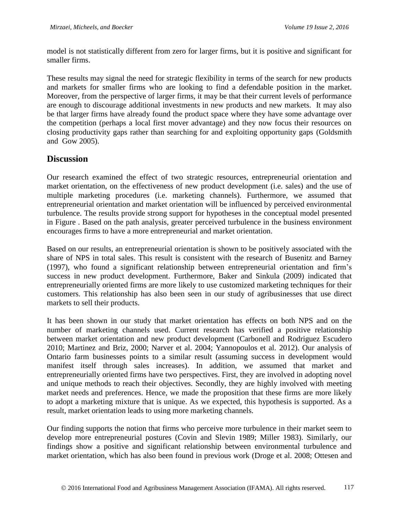model is not statistically different from zero for larger firms, but it is positive and significant for smaller firms.

These results may signal the need for strategic flexibility in terms of the search for new products and markets for smaller firms who are looking to find a defendable position in the market. Moreover, from the perspective of larger firms, it may be that their current levels of performance are enough to discourage additional investments in new products and new markets. It may also be that larger firms have already found the product space where they have some advantage over the competition (perhaps a local first mover advantage) and they now focus their resources on closing productivity gaps rather than searching for and exploiting opportunity gaps (Goldsmith and Gow 2005).

# **Discussion**

Our research examined the effect of two strategic resources, entrepreneurial orientation and market orientation, on the effectiveness of new product development (i.e. sales) and the use of multiple marketing procedures (i.e. marketing channels). Furthermore, we assumed that entrepreneurial orientation and market orientation will be influenced by perceived environmental turbulence. The results provide strong support for hypotheses in the conceptual model presented in [Figure .](#page-7-0) Based on the path analysis, greater perceived turbulence in the business environment encourages firms to have a more entrepreneurial and market orientation.

Based on our results, an entrepreneurial orientation is shown to be positively associated with the share of NPS in total sales. This result is consistent with the research of Busenitz and Barney (1997), who found a significant relationship between entrepreneurial orientation and firm's success in new product development. Furthermore, Baker and Sinkula (2009) indicated that entrepreneurially oriented firms are more likely to use customized marketing techniques for their customers. This relationship has also been seen in our study of agribusinesses that use direct markets to sell their products.

It has been shown in our study that market orientation has effects on both NPS and on the number of marketing channels used. Current research has verified a positive relationship between market orientation and new product development (Carbonell and Rodriguez Escudero 2010; Martinez and Briz, 2000; Narver et al. 2004; Yannopoulos et al. 2012). Our analysis of Ontario farm businesses points to a similar result (assuming success in development would manifest itself through sales increases). In addition, we assumed that market and entrepreneurially oriented firms have two perspectives. First, they are involved in adopting novel and unique methods to reach their objectives. Secondly, they are highly involved with meeting market needs and preferences. Hence, we made the proposition that these firms are more likely to adopt a marketing mixture that is unique. As we expected, this hypothesis is supported. As a result, market orientation leads to using more marketing channels.

Our finding supports the notion that firms who perceive more turbulence in their market seem to develop more entrepreneurial postures (Covin and Slevin 1989; Miller 1983). Similarly, our findings show a positive and significant relationship between environmental turbulence and market orientation, which has also been found in previous work (Droge et al. 2008; Ottesen and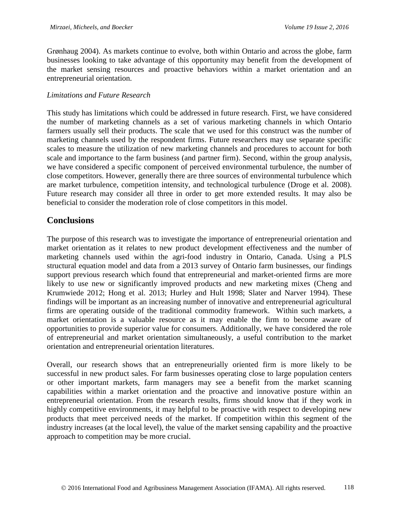Grønhaug 2004). As markets continue to evolve, both within Ontario and across the globe, farm businesses looking to take advantage of this opportunity may benefit from the development of the market sensing resources and proactive behaviors within a market orientation and an entrepreneurial orientation.

### *Limitations and Future Research*

This study has limitations which could be addressed in future research. First, we have considered the number of marketing channels as a set of various marketing channels in which Ontario farmers usually sell their products. The scale that we used for this construct was the number of marketing channels used by the respondent firms. Future researchers may use separate specific scales to measure the utilization of new marketing channels and procedures to account for both scale and importance to the farm business (and partner firm). Second, within the group analysis, we have considered a specific component of perceived environmental turbulence, the number of close competitors. However, generally there are three sources of environmental turbulence which are market turbulence, competition intensity, and technological turbulence (Droge et al. 2008). Future research may consider all three in order to get more extended results. It may also be beneficial to consider the moderation role of close competitors in this model.

# **Conclusions**

The purpose of this research was to investigate the importance of entrepreneurial orientation and market orientation as it relates to new product development effectiveness and the number of marketing channels used within the agri-food industry in Ontario, Canada. Using a PLS structural equation model and data from a 2013 survey of Ontario farm businesses, our findings support previous research which found that entrepreneurial and market-oriented firms are more likely to use new or significantly improved products and new marketing mixes (Cheng and Krumwiede 2012; Hong et al. 2013; Hurley and Hult 1998; Slater and Narver 1994). These findings will be important as an increasing number of innovative and entrepreneurial agricultural firms are operating outside of the traditional commodity framework. Within such markets, a market orientation is a valuable resource as it may enable the firm to become aware of opportunities to provide superior value for consumers. Additionally, we have considered the role of entrepreneurial and market orientation simultaneously, a useful contribution to the market orientation and entrepreneurial orientation literatures.

Overall, our research shows that an entrepreneurially oriented firm is more likely to be successful in new product sales. For farm businesses operating close to large population centers or other important markets, farm managers may see a benefit from the market scanning capabilities within a market orientation and the proactive and innovative posture within an entrepreneurial orientation. From the research results, firms should know that if they work in highly competitive environments, it may helpful to be proactive with respect to developing new products that meet perceived needs of the market. If competition within this segment of the industry increases (at the local level), the value of the market sensing capability and the proactive approach to competition may be more crucial.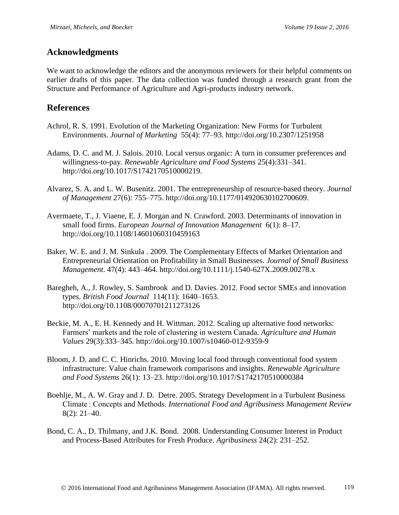# **Acknowledgments**

We want to acknowledge the editors and the anonymous reviewers for their helpful comments on earlier drafts of this paper. The data collection was funded through a research grant from the Structure and Performance of Agriculture and Agri-products industry network.

# **References**

- Achrol, R. S. 1991. Evolution of the Marketing Organization: New Forms for Turbulent Environments. *Journal of Marketing* 55(4): 77–93. http://doi.org/10.2307/1251958
- Adams, D. C. and M. J. Salois. 2010. Local versus organic: A turn in consumer preferences and willingness-to-pay. *Renewable Agriculture and Food Systems* 25(4):331–341. http://doi.org/10.1017/S1742170510000219.
- Alvarez, S. A. and L. W. Busenitz. 2001. The entrepreneurship of resource-based theory. *Journal of Management* 27(6): 755–775. http://doi.org/10.1177/014920630102700609.
- Avermaete, T., J. Viaene, E. J. Morgan and N. Crawford. 2003. Determinants of innovation in small food firms. *European Journal of Innovation Management* 6(1): 8–17. http://doi.org/10.1108/14601060310459163
- Baker, W. E. and J. M. Sinkula . 2009. The Complementary Effects of Market Orientation and Entrepreneurial Orientation on Profitability in Small Businesses. *Journal of Small Business Management*. 47(4): 443–464. http://doi.org/10.1111/j.1540-627X.2009.00278.x
- Baregheh, A., J. Rowley, S. Sambrook and D. Davies. 2012. Food sector SMEs and innovation types. *British Food Journal* 114(11): 1640–1653. http://doi.org/10.1108/00070701211273126
- Beckie, M. A., E. H. Kennedy and H. Wittman. 2012. Scaling up alternative food networks: Farmers' markets and the role of clustering in western Canada. *Agriculture and Human Values* 29(3):333–345. http://doi.org/10.1007/s10460-012-9359-9
- Bloom, J. D. and C. C. Hinrichs. 2010. Moving local food through conventional food system infrastructure: Value chain framework comparisons and insights. *Renewable Agriculture and Food Systems* 26(1): 13–23. http://doi.org/10.1017/S1742170510000384
- Boehlje, M., A. W. Gray and J. D. Detre. 2005. Strategy Development in a Turbulent Business Climate : Concepts and Methods. *International Food and Agribusiness Management Review* 8(2): 21–40.
- Bond, C. A., D. Thilmany, and J.K. Bond. 2008. Understanding Consumer Interest in Product and Process-Based Attributes for Fresh Produce. *Agribusiness* 24(2): 231–252.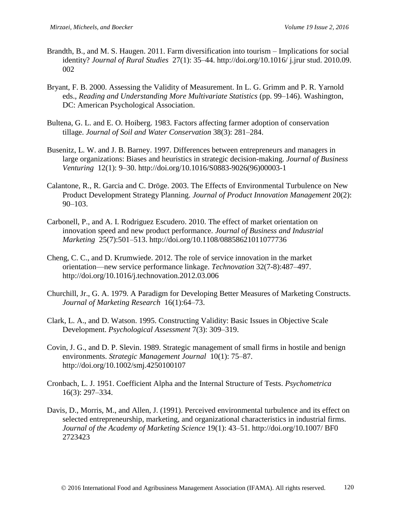- Brandth, B., and M. S. Haugen. 2011. Farm diversification into tourism Implications for social identity? *Journal of Rural Studies* 27(1): 35–44. http://doi.org/10.1016/ j.jrur stud. 2010.09. 002
- Bryant, F. B. 2000. Assessing the Validity of Measurement. In L. G. Grimm and P. R. Yarnold eds., *Reading and Understanding More Multivariate Statistics* (pp. 99–146). Washington, DC: American Psychological Association.
- Bultena, G. L. and E. O. Hoiberg. 1983. Factors affecting farmer adoption of conservation tillage. *Journal of Soil and Water Conservation* 38(3): 281–284.
- Busenitz, L. W. and J. B. Barney. 1997. Differences between entrepreneurs and managers in large organizations: Biases and heuristics in strategic decision-making. *Journal of Business Venturing* 12(1): 9–30. http://doi.org/10.1016/S0883-9026(96)00003-1
- Calantone, R., R. Garcia and C. Dröge. 2003. The Effects of Environmental Turbulence on New Product Development Strategy Planning. *Journal of Product Innovation Management* 20(2):  $90-103$ .
- Carbonell, P., and A. I. Rodriguez Escudero. 2010. The effect of market orientation on innovation speed and new product performance. *Journal of Business and Industrial Marketing* 25(7):501–513. http://doi.org/10.1108/08858621011077736
- Cheng, C. C., and D. Krumwiede. 2012. The role of service innovation in the market orientation—new service performance linkage. *Technovation* 32(7-8):487–497. http://doi.org/10.1016/j.technovation.2012.03.006
- Churchill, Jr., G. A. 1979. A Paradigm for Developing Better Measures of Marketing Constructs. *Journal of Marketing Research* 16(1):64–73.
- Clark, L. A., and D. Watson. 1995. Constructing Validity: Basic Issues in Objective Scale Development. *Psychological Assessment* 7(3): 309–319.
- Covin, J. G., and D. P. Slevin. 1989. Strategic management of small firms in hostile and benign environments. *Strategic Management Journal* 10(1): 75–87. http://doi.org/10.1002/smj.4250100107
- Cronbach, L. J. 1951. Coefficient Alpha and the Internal Structure of Tests. *Psychometrica* 16(3): 297–334.
- Davis, D., Morris, M., and Allen, J. (1991). Perceived environmental turbulence and its effect on selected entrepreneurship, marketing, and organizational characteristics in industrial firms. *Journal of the Academy of Marketing Science* 19(1): 43–51. http://doi.org/10.1007/ BF0 2723423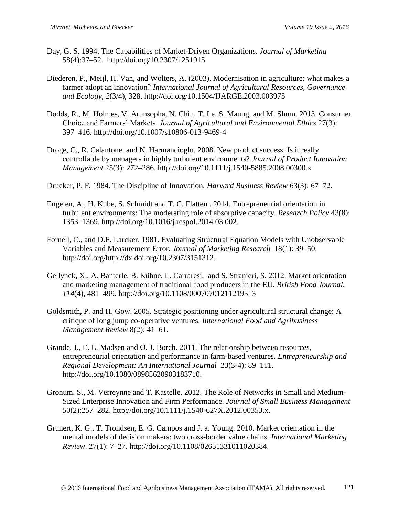- Day, G. S. 1994. The Capabilities of Market-Driven Organizations. *Journal of Marketing* 58(4):37–52. http://doi.org/10.2307/1251915
- Diederen, P., Meijl, H. Van, and Wolters, A. (2003). Modernisation in agriculture: what makes a farmer adopt an innovation? *International Journal of Agricultural Resources, Governance and Ecology*, *2*(3/4), 328. http://doi.org/10.1504/IJARGE.2003.003975
- Dodds, R., M. Holmes, V. Arunsopha, N. Chin, T. Le, S. Maung, and M. Shum. 2013. Consumer Choice and Farmers' Markets. *Journal of Agricultural and Environmental Ethics* 27(3): 397–416. http://doi.org/10.1007/s10806-013-9469-4
- Droge, C., R. Calantone and N. Harmancioglu. 2008. New product success: Is it really controllable by managers in highly turbulent environments? *Journal of Product Innovation Management* 25(3): 272–286. http://doi.org/10.1111/j.1540-5885.2008.00300.x
- Drucker, P. F. 1984. The Discipline of Innovation. *Harvard Business Review* 63(3): 67–72.
- Engelen, A., H. Kube, S. Schmidt and T. C. Flatten . 2014. Entrepreneurial orientation in turbulent environments: The moderating role of absorptive capacity. *Research Policy* 43(8): 1353–1369. http://doi.org/10.1016/j.respol.2014.03.002.
- Fornell, C., and D.F. Larcker. 1981. Evaluating Structural Equation Models with Unobservable Variables and Measurement Error. *Journal of Marketing Research* 18(1): 39–50. http://doi.org/http://dx.doi.org/10.2307/3151312.
- Gellynck, X., A. Banterle, B. Kühne, L. Carraresi, and S. Stranieri, S. 2012. Market orientation and marketing management of traditional food producers in the EU. *British Food Journal*, *114*(4), 481–499. http://doi.org/10.1108/00070701211219513
- Goldsmith, P. and H. Gow. 2005. Strategic positioning under agricultural structural change: A critique of long jump co-operative ventures. *International Food and Agribusiness Management Review* 8(2): 41–61.
- Grande, J., E. L. Madsen and O. J. Borch. 2011. The relationship between resources, entrepreneurial orientation and performance in farm-based ventures. *Entrepreneurship and Regional Development: An International Journal* 23(3-4): 89–111. http://doi.org/10.1080/08985620903183710.
- Gronum, S., M. Verreynne and T. Kastelle. 2012. The Role of Networks in Small and Medium-Sized Enterprise Innovation and Firm Performance. *Journal of Small Business Management*  50(2):257–282. http://doi.org/10.1111/j.1540-627X.2012.00353.x.
- Grunert, K. G., T. Trondsen, E. G. Campos and J. a. Young. 2010. Market orientation in the mental models of decision makers: two cross-border value chains. *International Marketing Review*. 27(1): 7–27. http://doi.org/10.1108/02651331011020384.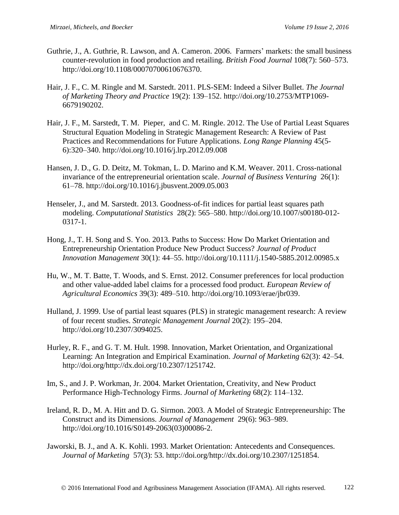- Guthrie, J., A. Guthrie, R. Lawson, and A. Cameron. 2006. Farmers' markets: the small business counter-revolution in food production and retailing. *British Food Journal* 108(7): 560–573. http://doi.org/10.1108/00070700610676370.
- Hair, J. F., C. M. Ringle and M. Sarstedt. 2011. PLS-SEM: Indeed a Silver Bullet. *The Journal of Marketing Theory and Practice* 19(2): 139–152. http://doi.org/10.2753/MTP1069- 6679190202.
- Hair, J. F., M. Sarstedt, T. M. Pieper, and C. M. Ringle. 2012. The Use of Partial Least Squares Structural Equation Modeling in Strategic Management Research: A Review of Past Practices and Recommendations for Future Applications. *Long Range Planning* 45(5- 6):320–340. http://doi.org/10.1016/j.lrp.2012.09.008
- Hansen, J. D., G. D. Deitz, M. Tokman, L. D. Marino and K.M. Weaver. 2011. Cross-national invariance of the entrepreneurial orientation scale. *Journal of Business Venturing* 26(1): 61–78. http://doi.org/10.1016/j.jbusvent.2009.05.003
- Henseler, J., and M. Sarstedt. 2013. Goodness-of-fit indices for partial least squares path modeling. *Computational Statistics* 28(2): 565–580. http://doi.org/10.1007/s00180-012- 0317-1.
- Hong, J., T. H. Song and S. Yoo. 2013. Paths to Success: How Do Market Orientation and Entrepreneurship Orientation Produce New Product Success? *Journal of Product Innovation Management* 30(1): 44–55. http://doi.org/10.1111/j.1540-5885.2012.00985.x
- Hu, W., M. T. Batte, T. Woods, and S. Ernst. 2012. Consumer preferences for local production and other value-added label claims for a processed food product. *European Review of Agricultural Economics* 39(3): 489–510. http://doi.org/10.1093/erae/jbr039.
- Hulland, J. 1999. Use of partial least squares (PLS) in strategic management research: A review of four recent studies. *Strategic Management Journal* 20(2): 195–204. http://doi.org/10.2307/3094025.
- Hurley, R. F., and G. T. M. Hult. 1998. Innovation, Market Orientation, and Organizational Learning: An Integration and Empirical Examination. *Journal of Marketing* 62(3): 42–54. http://doi.org/http://dx.doi.org/10.2307/1251742.
- Im, S., and J. P. Workman, Jr. 2004. Market Orientation, Creativity, and New Product Performance High-Technology Firms. *Journal of Marketing* 68(2): 114–132.
- Ireland, R. D., M. A. Hitt and D. G. Sirmon. 2003. A Model of Strategic Entrepreneurship: The Construct and its Dimensions. *Journal of Management* 29(6): 963–989. http://doi.org/10.1016/S0149-2063(03)00086-2.
- Jaworski, B. J., and A. K. Kohli. 1993. Market Orientation: Antecedents and Consequences. *Journal of Marketing* 57(3): 53. http://doi.org/http://dx.doi.org/10.2307/1251854.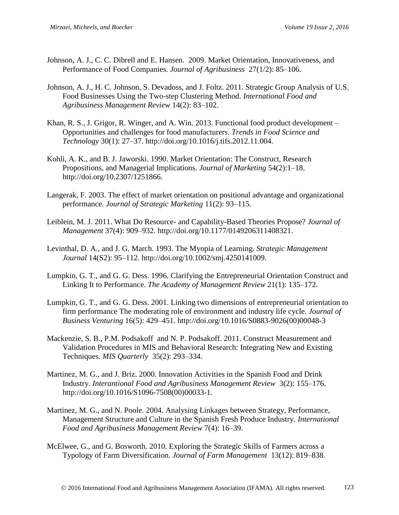- Johnson, A. J., C. C. Dibrell and E. Hansen. 2009. Market Orientation, Innovativeness, and Performance of Food Companies. *Journal of Agribusiness* 27(1/2): 85–106.
- Johnson, A. J., H. C. Johnson, S. Devadoss, and J. Foltz. 2011. Strategic Group Analysis of U.S. Food Businesses Using the Two-step Clustering Method. *International Food and Agribusiness Management Review* 14(2): 83–102.
- Khan, R. S., J. Grigor, R. Winger, and A. Win. 2013. Functional food product development Opportunities and challenges for food manufacturers. *Trends in Food Science and Technology* 30(1): 27–37. http://doi.org/10.1016/j.tifs.2012.11.004.
- Kohli, A. K., and B. J. Jaworski. 1990. Market Orientation: The Construct, Research Propositions, and Managerial Implications. *Journal of Marketing* 54(2):1–18. http://doi.org/10.2307/1251866.
- Langerak, F. 2003. The effect of market orientation on positional advantage and organizational performance. *Journal of Strategic Marketing* 11(2): 93–115.
- Leiblein, M. J. 2011. What Do Resource- and Capability-Based Theories Propose? *Journal of Management* 37(4): 909–932. http://doi.org/10.1177/0149206311408321.
- Levinthal, D. A., and J. G. March. 1993. The Myopia of Learning. *Strategic Management Journal* 14(S2): 95–112. http://doi.org/10.1002/smj.4250141009.
- Lumpkin, G. T., and G. G. Dess. 1996. Clarifying the Entrepreneurial Orientation Construct and Linking It to Performance. *The Academy of Management Review* 21(1): 135–172.
- Lumpkin, G. T., and G. G. Dess. 2001. Linking two dimensions of entrepreneurial orientation to firm performance The moderating role of environment and industry life cycle. *Journal of Business Venturing* 16(5): 429–451. http://doi.org/10.1016/S0883-9026(00)00048-3
- Mackenzie, S. B., P.M. Podsakoff and N. P. Podsakoff. 2011. Construct Measurement and Validation Procedures in MIS and Behavioral Research: Integrating New and Existing Techniques. *MIS Quarterly* 35(2): 293–334.
- Martinez, M. G., and J. Briz. 2000. Innovation Activities in the Spanish Food and Drink Industry. *Interantional Food and Agribusiness Management Review* 3(2): 155–176. http://doi.org/10.1016/S1096-7508(00)00033-1.
- Martinez, M. G., and N. Poole. 2004. Analysing Linkages between Strategy, Performance, Management Structure and Culture in the Spanish Fresh Produce Industry. *International Food and Agribusiness Management Review* 7(4): 16–39.
- McElwee, G., and G. Bosworth. 2010. Exploring the Strategic Skills of Farmers across a Typology of Farm Diversification. *Journal of Farm Management* 13(12): 819–838.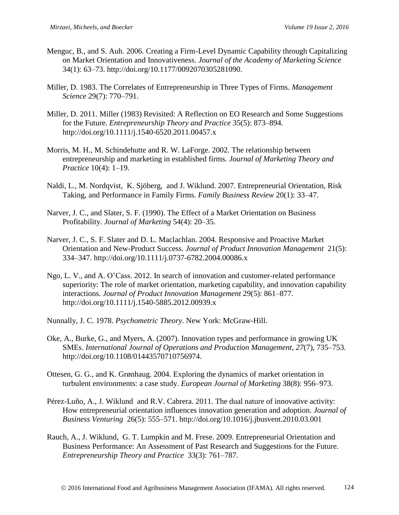- Menguc, B., and S. Auh. 2006. Creating a Firm-Level Dynamic Capability through Capitalizing on Market Orientation and Innovativeness. *Journal of the Academy of Marketing Science* 34(1): 63–73. http://doi.org/10.1177/0092070305281090.
- Miller, D. 1983. The Correlates of Entrepreneurship in Three Types of Firms. *Management Science* 29(7): 770–791.
- Miller, D. 2011. Miller (1983) Revisited: A Reflection on EO Research and Some Suggestions for the Future. *Entrepreneurship Theory and Practice* 35(5): 873–894. http://doi.org/10.1111/j.1540-6520.2011.00457.x
- Morris, M. H., M. Schindehutte and R. W. LaForge. 2002. The relationship between entrepreneurship and marketing in established firms. *Journal of Marketing Theory and Practice* 10(4): 1–19.
- Naldi, L., M. Nordqvist, K. Sjöberg, and J. Wiklund. 2007. Entrepreneurial Orientation, Risk Taking, and Performance in Family Firms. *Family Business Review* 20(1): 33–47.
- Narver, J. C., and Slater, S. F. (1990). The Effect of a Market Orientation on Business Profitability. *Journal of Marketing* 54(4): 20–35.
- Narver, J. C., S. F. Slater and D. L. Maclachlan. 2004. Responsive and Proactive Market Orientation and New-Product Success. *Journal of Product Innovation Management* 21(5): 334–347. http://doi.org/10.1111/j.0737-6782.2004.00086.x
- Ngo, L. V., and A. O'Cass. 2012. In search of innovation and customer-related performance superiority: The role of market orientation, marketing capability, and innovation capability interactions. *Journal of Product Innovation Management* 29(5): 861–877. http://doi.org/10.1111/j.1540-5885.2012.00939.x
- Nunnally, J. C. 1978. *Psychometric Theory*. New York: McGraw-Hill.
- Oke, A., Burke, G., and Myers, A. (2007). Innovation types and performance in growing UK SMEs. *International Journal of Operations and Production Management*, *27*(7), 735–753. http://doi.org/10.1108/01443570710756974.
- Ottesen, G. G., and K. Grønhaug. 2004. Exploring the dynamics of market orientation in turbulent environments: a case study. *European Journal of Marketing* 38(8): 956–973.
- Pérez-Luño, A., J. Wiklund and R.V. Cabrera. 2011. The dual nature of innovative activity: How entrepreneurial orientation influences innovation generation and adoption. *Journal of Business Venturing* 26(5): 555–571. http://doi.org/10.1016/j.jbusvent.2010.03.001
- Rauch, A., J. Wiklund, G. T. Lumpkin and M. Frese. 2009. Entrepreneurial Orientation and Business Performance: An Assessment of Past Research and Suggestions for the Future. *Entrepreneurship Theory and Practice* 33(3): 761–787.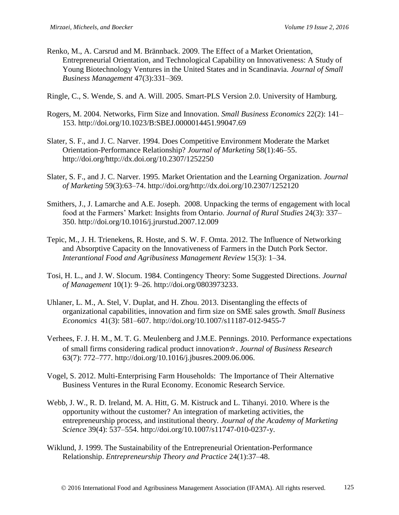- Renko, M., A. Carsrud and M. Brännback. 2009. The Effect of a Market Orientation, Entrepreneurial Orientation, and Technological Capability on Innovativeness: A Study of Young Biotechnology Ventures in the United States and in Scandinavia. *Journal of Small Business Management* 47(3):331–369.
- Ringle, C., S. Wende, S. and A. Will. 2005. Smart-PLS Version 2.0. University of Hamburg.
- Rogers, M. 2004. Networks, Firm Size and Innovation. *Small Business Economics* 22(2): 141– 153. http://doi.org/10.1023/B:SBEJ.0000014451.99047.69
- Slater, S. F., and J. C. Narver. 1994. Does Competitive Environment Moderate the Market Orientation-Performance Relationship? *Journal of Marketing* 58(1):46–55. http://doi.org/http://dx.doi.org/10.2307/1252250
- Slater, S. F., and J. C. Narver. 1995. Market Orientation and the Learning Organization. *Journal of Marketing* 59(3):63–74. http://doi.org/http://dx.doi.org/10.2307/1252120
- Smithers, J., J. Lamarche and A.E. Joseph. 2008. Unpacking the terms of engagement with local food at the Farmers' Market: Insights from Ontario. *Journal of Rural Studies* 24(3): 337– 350. http://doi.org/10.1016/j.jrurstud.2007.12.009
- Tepic, M., J. H. Trienekens, R. Hoste, and S. W. F. Omta. 2012. The Influence of Networking and Absorptive Capacity on the Innovativeness of Farmers in the Dutch Pork Sector. *Interantional Food and Agribusiness Management Review* 15(3): 1–34.
- Tosi, H. L., and J. W. Slocum. 1984. Contingency Theory: Some Suggested Directions. *Journal of Management* 10(1): 9–26. http://doi.org/0803973233.
- Uhlaner, L. M., A. Stel, V. Duplat, and H. Zhou. 2013. Disentangling the effects of organizational capabilities, innovation and firm size on SME sales growth. *Small Business Economics* 41(3): 581–607. http://doi.org/10.1007/s11187-012-9455-7
- Verhees, F. J. H. M., M. T. G. Meulenberg and J.M.E. Pennings. 2010. Performance expectations of small firms considering radical product innovation☆. *Journal of Business Research* 63(7): 772–777. http://doi.org/10.1016/j.jbusres.2009.06.006.
- Vogel, S. 2012. Multi-Enterprising Farm Households: The Importance of Their Alternative Business Ventures in the Rural Economy. Economic Research Service.
- Webb, J. W., R. D. Ireland, M. A. Hitt, G. M. Kistruck and L. Tihanyi. 2010. Where is the opportunity without the customer? An integration of marketing activities, the entrepreneurship process, and institutional theory. *Journal of the Academy of Marketing Science* 39(4): 537–554. http://doi.org/10.1007/s11747-010-0237-y.
- Wiklund, J. 1999. The Sustainability of the Entrepreneurial Orientation-Performance Relationship. *Entrepreneurship Theory and Practice* 24(1):37–48.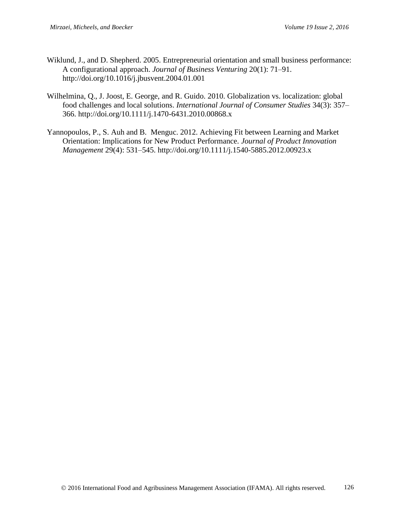- Wiklund, J., and D. Shepherd. 2005. Entrepreneurial orientation and small business performance: A configurational approach. *Journal of Business Venturing* 20(1): 71–91. http://doi.org/10.1016/j.jbusvent.2004.01.001
- Wilhelmina, Q., J. Joost, E. George, and R. Guido. 2010. Globalization vs. localization: global food challenges and local solutions. *International Journal of Consumer Studies* 34(3): 357– 366. http://doi.org/10.1111/j.1470-6431.2010.00868.x
- Yannopoulos, P., S. Auh and B. Menguc. 2012. Achieving Fit between Learning and Market Orientation: Implications for New Product Performance. *Journal of Product Innovation Management* 29(4): 531–545. http://doi.org/10.1111/j.1540-5885.2012.00923.x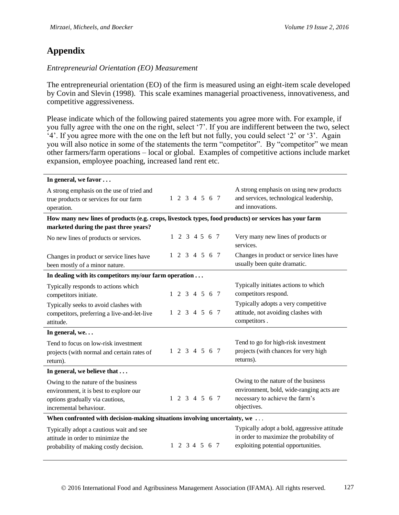# **Appendix**

# *Entrepreneurial Orientation (EO) Measurement*

The entrepreneurial orientation (EO) of the firm is measured using an eight-item scale developed by Covin and Slevin (1998). This scale examines managerial proactiveness, innovativeness, and competitive aggressiveness.

Please indicate which of the following paired statements you agree more with. For example, if you fully agree with the one on the right, select '7'. If you are indifferent between the two, select '4'. If you agree more with the one on the left but not fully, you could select '2' or '3'. Again you will also notice in some of the statements the term "competitor". By "competitor" we mean other farmers/farm operations – local or global. Examples of competitive actions include market expansion, employee poaching, increased land rent etc.

| In general, we favor                                                                                                                       |  |  |  |  |  |               |  |  |                                                                                                                                   |
|--------------------------------------------------------------------------------------------------------------------------------------------|--|--|--|--|--|---------------|--|--|-----------------------------------------------------------------------------------------------------------------------------------|
| A strong emphasis on the use of tried and<br>true products or services for our farm<br>operation.                                          |  |  |  |  |  | 1 2 3 4 5 6 7 |  |  | A strong emphasis on using new products<br>and services, technological leadership,<br>and innovations.                            |
| How many new lines of products (e.g. crops, livestock types, food products) or services has your farm                                      |  |  |  |  |  |               |  |  |                                                                                                                                   |
| marketed during the past three years?                                                                                                      |  |  |  |  |  |               |  |  |                                                                                                                                   |
| No new lines of products or services.                                                                                                      |  |  |  |  |  | 1 2 3 4 5 6 7 |  |  | Very many new lines of products or<br>services.                                                                                   |
| Changes in product or service lines have<br>been mostly of a minor nature.                                                                 |  |  |  |  |  | 1 2 3 4 5 6 7 |  |  | Changes in product or service lines have<br>usually been quite dramatic.                                                          |
| In dealing with its competitors my/our farm operation $\dots$                                                                              |  |  |  |  |  |               |  |  |                                                                                                                                   |
| Typically responds to actions which<br>competitors initiate.                                                                               |  |  |  |  |  | 1 2 3 4 5 6 7 |  |  | Typically initiates actions to which<br>competitors respond.                                                                      |
| Typically seeks to avoid clashes with<br>competitors, preferring a live-and-let-live<br>attitude.                                          |  |  |  |  |  | 1 2 3 4 5 6 7 |  |  | Typically adopts a very competitive<br>attitude, not avoiding clashes with<br>competitors.                                        |
| In general, we                                                                                                                             |  |  |  |  |  |               |  |  |                                                                                                                                   |
| Tend to focus on low-risk investment<br>projects (with normal and certain rates of<br>return).                                             |  |  |  |  |  | 1 2 3 4 5 6 7 |  |  | Tend to go for high-risk investment<br>projects (with chances for very high<br>returns).                                          |
| In general, we believe that                                                                                                                |  |  |  |  |  |               |  |  |                                                                                                                                   |
| Owing to the nature of the business<br>environment, it is best to explore our<br>options gradually via cautious,<br>incremental behaviour. |  |  |  |  |  | 1 2 3 4 5 6 7 |  |  | Owing to the nature of the business<br>environment, bold, wide-ranging acts are<br>necessary to achieve the farm's<br>objectives. |
| When confronted with decision-making situations involving uncertainty, we                                                                  |  |  |  |  |  |               |  |  |                                                                                                                                   |
| Typically adopt a cautious wait and see<br>attitude in order to minimize the<br>probability of making costly decision.                     |  |  |  |  |  | 1 2 3 4 5 6 7 |  |  | Typically adopt a bold, aggressive attitude<br>in order to maximize the probability of<br>exploiting potential opportunities.     |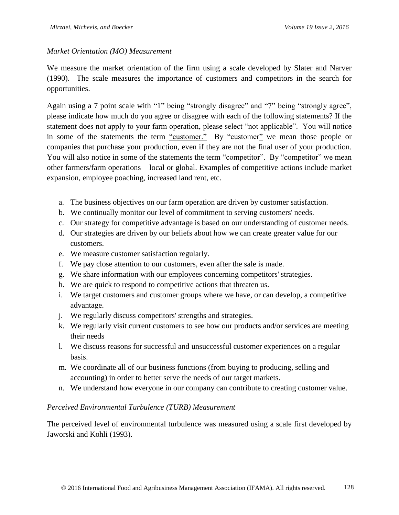### *Market Orientation (MO) Measurement*

We measure the market orientation of the firm using a scale developed by Slater and Narver (1990). The scale measures the importance of customers and competitors in the search for opportunities.

Again using a 7 point scale with "1" being "strongly disagree" and "7" being "strongly agree", please indicate how much do you agree or disagree with each of the following statements? If the statement does not apply to your farm operation, please select "not applicable". You will notice in some of the statements the term "customer." By "customer" we mean those people or companies that purchase your production, even if they are not the final user of your production. You will also notice in some of the statements the term "competitor". By "competitor" we mean other farmers/farm operations – local or global. Examples of competitive actions include market expansion, employee poaching, increased land rent, etc.

- a. The business objectives on our farm operation are driven by customer satisfaction.
- b. We continually monitor our level of commitment to serving customers' needs.
- c. Our strategy for competitive advantage is based on our understanding of customer needs.
- d. Our strategies are driven by our beliefs about how we can create greater value for our customers.
- e. We measure customer satisfaction regularly.
- f. We pay close attention to our customers, even after the sale is made.
- g. We share information with our employees concerning competitors' strategies.
- h. We are quick to respond to competitive actions that threaten us.
- i. We target customers and customer groups where we have, or can develop, a competitive advantage.
- j. We regularly discuss competitors' strengths and strategies.
- k. We regularly visit current customers to see how our products and/or services are meeting their needs
- l. We discuss reasons for successful and unsuccessful customer experiences on a regular basis.
- m. We coordinate all of our business functions (from buying to producing, selling and accounting) in order to better serve the needs of our target markets.
- n. We understand how everyone in our company can contribute to creating customer value.

#### *Perceived Environmental Turbulence (TURB) Measurement*

The perceived level of environmental turbulence was measured using a scale first developed by Jaworski and Kohli (1993).